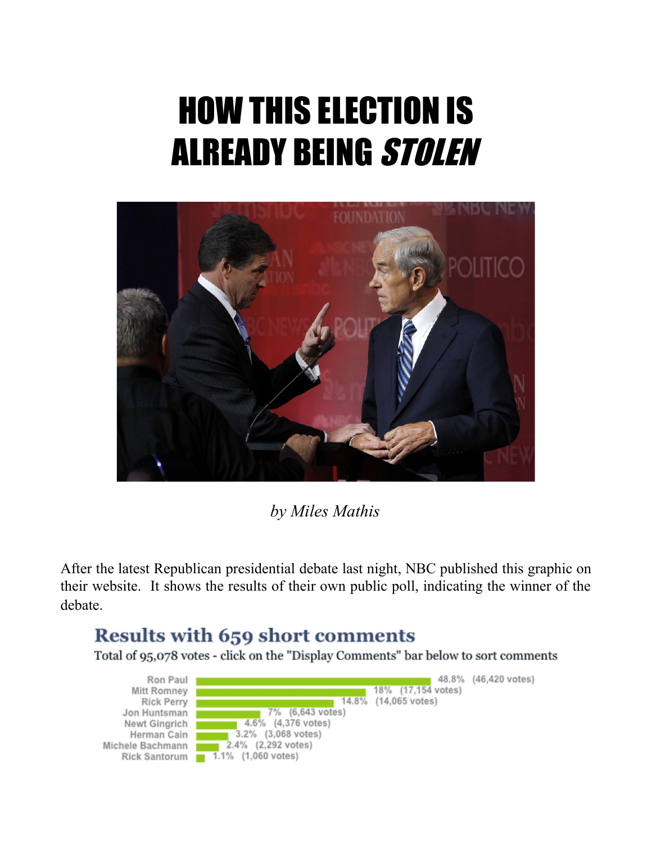## HOW THIS ELECTION IS ALREADY BEING STOLEN



*by Miles Mathis*

After the latest Republican presidential debate last night, NBC published this graphic on their website. It shows the results of their own public poll, indicating the winner of the debate.

## Results with 659 short comments

Total of 95,078 votes - click on the "Display Comments" bar below to sort comments

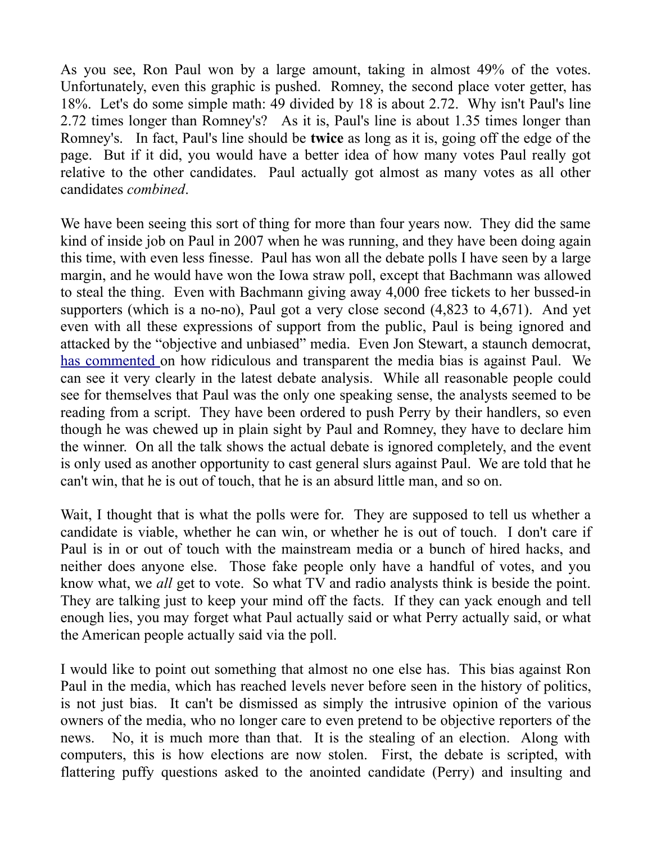As you see, Ron Paul won by a large amount, taking in almost 49% of the votes. Unfortunately, even this graphic is pushed. Romney, the second place voter getter, has 18%. Let's do some simple math: 49 divided by 18 is about 2.72. Why isn't Paul's line 2.72 times longer than Romney's? As it is, Paul's line is about 1.35 times longer than Romney's. In fact, Paul's line should be **twice** as long as it is, going off the edge of the page. But if it did, you would have a better idea of how many votes Paul really got relative to the other candidates. Paul actually got almost as many votes as all other candidates *combined*.

We have been seeing this sort of thing for more than four years now. They did the same kind of inside job on Paul in 2007 when he was running, and they have been doing again this time, with even less finesse. Paul has won all the debate polls I have seen by a large margin, and he would have won the Iowa straw poll, except that Bachmann was allowed to steal the thing. Even with Bachmann giving away 4,000 free tickets to her bussed-in supporters (which is a no-no), Paul got a very close second (4,823 to 4,671). And yet even with all these expressions of support from the public, Paul is being ignored and attacked by the "objective and unbiased" media. Even Jon Stewart, a staunch democrat, [has commented o](http://www.thedailyshow.com/watch/mon-august-15-2011/indecision-2012---corn-polled-edition---ron-paul---the-top-tier)n how ridiculous and transparent the media bias is against Paul. We can see it very clearly in the latest debate analysis. While all reasonable people could see for themselves that Paul was the only one speaking sense, the analysts seemed to be reading from a script. They have been ordered to push Perry by their handlers, so even though he was chewed up in plain sight by Paul and Romney, they have to declare him the winner. On all the talk shows the actual debate is ignored completely, and the event is only used as another opportunity to cast general slurs against Paul. We are told that he can't win, that he is out of touch, that he is an absurd little man, and so on.

Wait, I thought that is what the polls were for. They are supposed to tell us whether a candidate is viable, whether he can win, or whether he is out of touch. I don't care if Paul is in or out of touch with the mainstream media or a bunch of hired hacks, and neither does anyone else. Those fake people only have a handful of votes, and you know what, we *all* get to vote. So what TV and radio analysts think is beside the point. They are talking just to keep your mind off the facts. If they can yack enough and tell enough lies, you may forget what Paul actually said or what Perry actually said, or what the American people actually said via the poll.

I would like to point out something that almost no one else has. This bias against Ron Paul in the media, which has reached levels never before seen in the history of politics, is not just bias. It can't be dismissed as simply the intrusive opinion of the various owners of the media, who no longer care to even pretend to be objective reporters of the news. No, it is much more than that. It is the stealing of an election. Along with computers, this is how elections are now stolen. First, the debate is scripted, with flattering puffy questions asked to the anointed candidate (Perry) and insulting and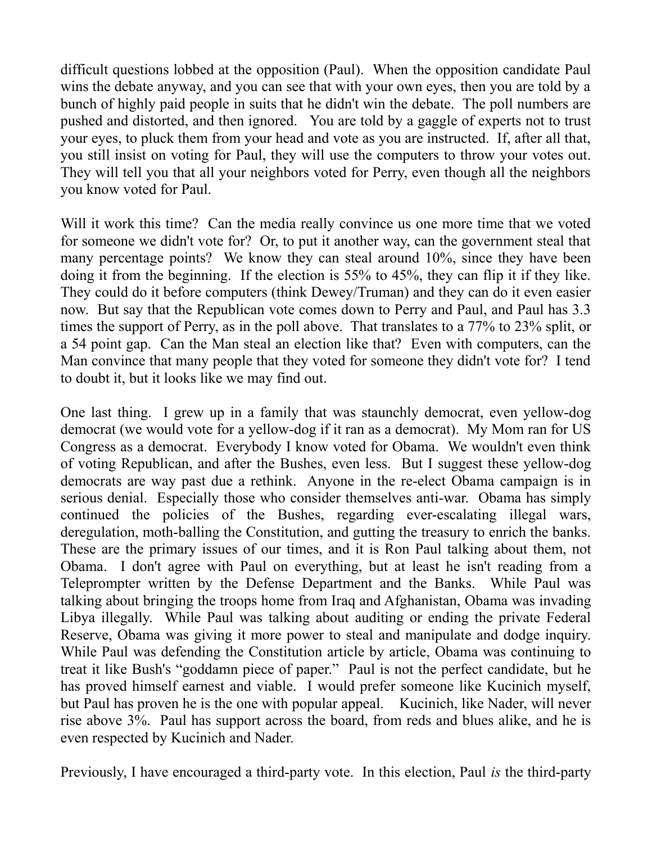difficult questions lobbed at the opposition (Paul). When the opposition candidate Paul wins the debate anyway, and you can see that with your own eyes, then you are told by a bunch of highly paid people in suits that he didn't win the debate. The poll numbers are pushed and distorted, and then ignored. You are told by a gaggle of experts not to trust your eyes, to pluck them from your head and vote as you are instructed. If, after all that, you still insist on voting for Paul, they will use the computers to throw your votes out. They will tell you that all your neighbors voted for Perry, even though all the neighbors you know voted for Paul.

Will it work this time? Can the media really convince us one more time that we voted for someone we didn't vote for? Or, to put it another way, can the government steal that many percentage points? We know they can steal around 10%, since they have been doing it from the beginning. If the election is 55% to 45%, they can flip it if they like. They could do it before computers (think Dewey/Truman) and they can do it even easier now. But say that the Republican vote comes down to Perry and Paul, and Paul has 3.3 times the support of Perry, as in the poll above. That translates to a 77% to 23% split, or a 54 point gap. Can the Man steal an election like that? Even with computers, can the Man convince that many people that they voted for someone they didn't vote for? I tend to doubt it, but it looks like we may find out.

One last thing. I grew up in a family that was staunchly democrat, even yellow-dog democrat (we would vote for a yellow-dog if it ran as a democrat). My Mom ran for US Congress as a democrat. Everybody I know voted for Obama. We wouldn't even think of voting Republican, and after the Bushes, even less. But I suggest these yellow-dog democrats are way past due a rethink. Anyone in the re-elect Obama campaign is in serious denial. Especially those who consider themselves anti-war. Obama has simply continued the policies of the Bushes, regarding ever-escalating illegal wars, deregulation, moth-balling the Constitution, and gutting the treasury to enrich the banks. These are the primary issues of our times, and it is Ron Paul talking about them, not Obama. I don't agree with Paul on everything, but at least he isn't reading from a Teleprompter written by the Defense Department and the Banks. While Paul was talking about bringing the troops home from Iraq and Afghanistan, Obama was invading Libya illegally. While Paul was talking about auditing or ending the private Federal Reserve, Obama was giving it more power to steal and manipulate and dodge inquiry. While Paul was defending the Constitution article by article, Obama was continuing to treat it like Bush's "goddamn piece of paper." Paul is not the perfect candidate, but he has proved himself earnest and viable. I would prefer someone like Kucinich myself, but Paul has proven he is the one with popular appeal. Kucinich, like Nader, will never rise above 3%. Paul has support across the board, from reds and blues alike, and he is even respected by Kucinich and Nader.

Previously, I have encouraged a third-party vote. In this election, Paul *is* the third-party